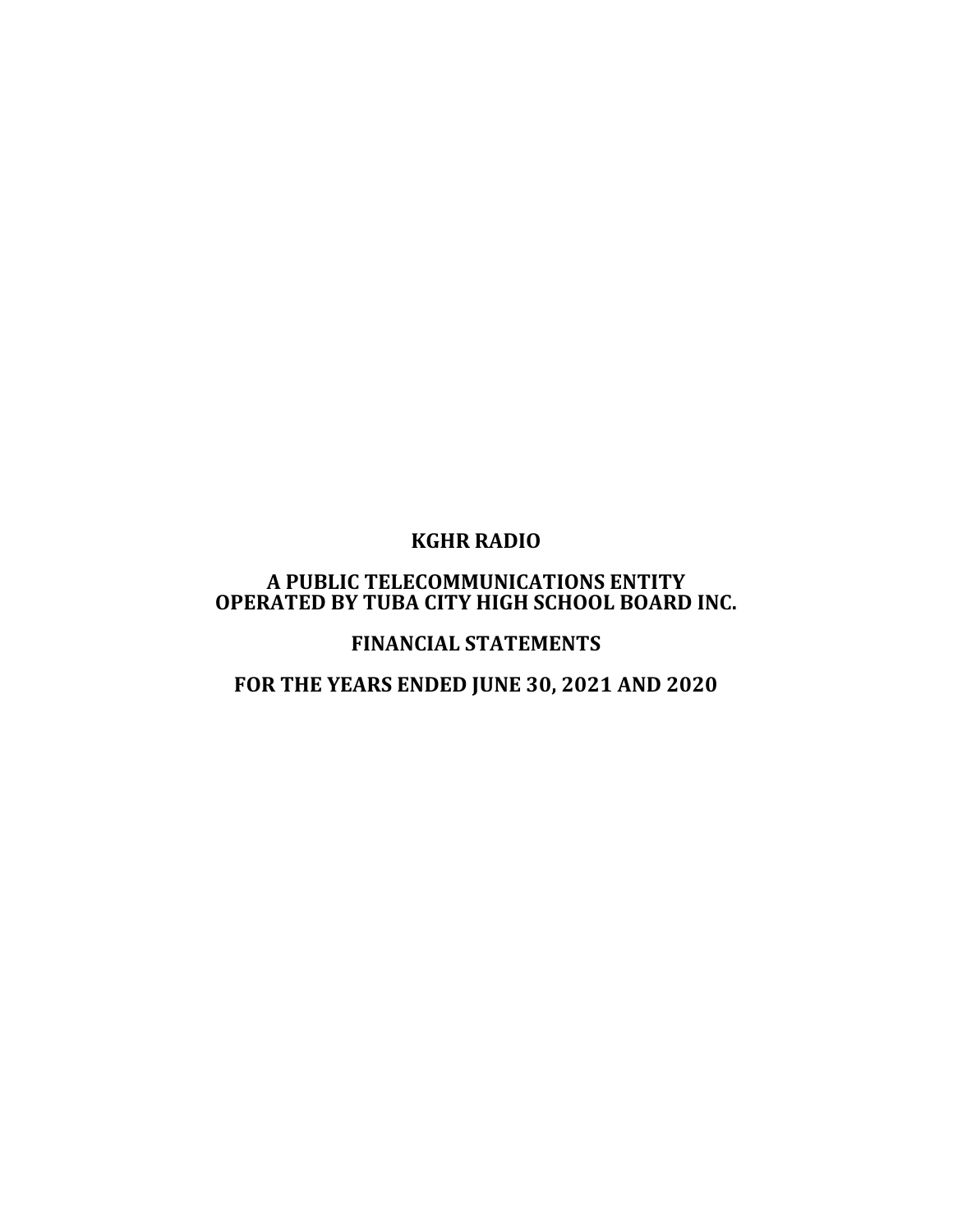# **KGHR RADIO**

# **A PUBLIC TELECOMMUNICATIONS ENTITY OPERATED BY TUBA CITY HIGH SCHOOL BOARD INC.**

# **FINANCIAL STATEMENTS**

# **FOR THE YEARS ENDED JUNE 30, 2021 AND 2020**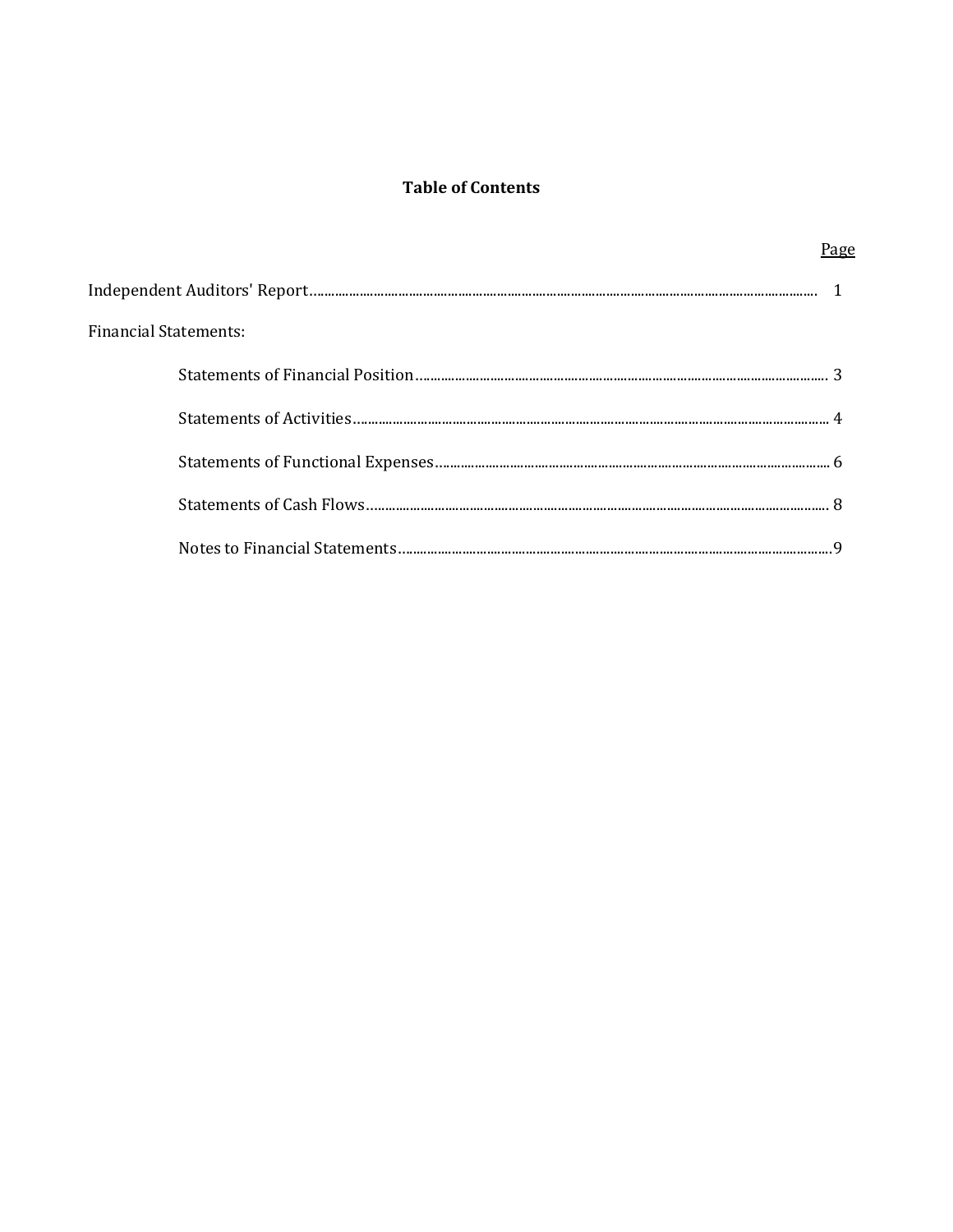# **Table of Contents**

|                       | age |
|-----------------------|-----|
|                       |     |
| Financial Statements: |     |
|                       |     |
|                       |     |
|                       |     |
|                       |     |
|                       |     |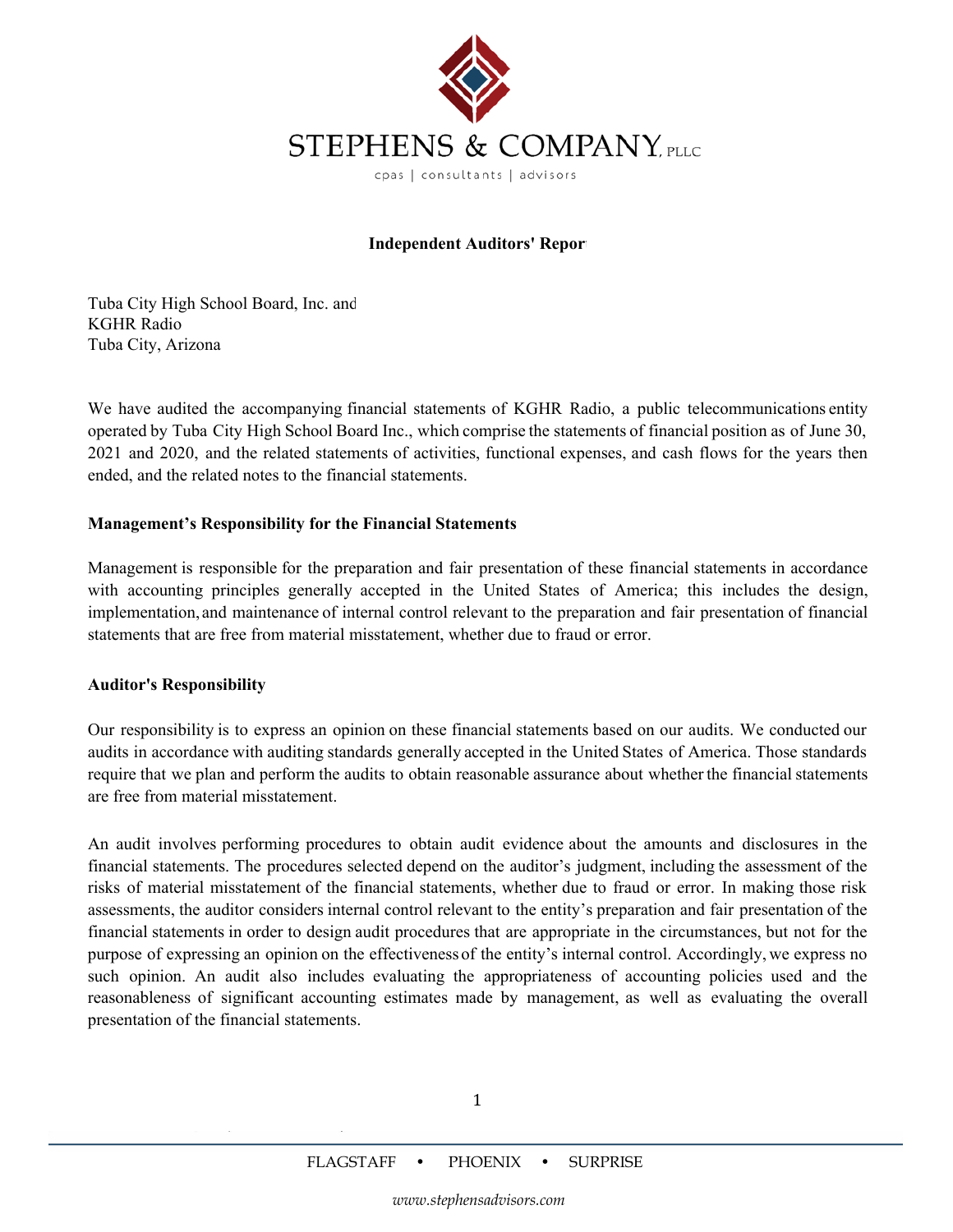

### **Independent Auditors' Report**

Tuba City High School Board, Inc. and KGHR Radio Tuba City, Arizona

We have audited the accompanying financial statements of KGHR Radio, a public telecommunications entity operated by Tuba City High School Board Inc., which comprise the statements of financial position as of June 30, 2021 and 2020, and the related statements of activities, functional expenses, and cash flows for the years then ended, and the related notes to the financial statements.

### **Management's Responsibility for the Financial Statements**

Management is responsible for the preparation and fair presentation of these financial statements in accordance with accounting principles generally accepted in the United States of America; this includes the design, implementation, and maintenance of internal control relevant to the preparation and fair presentation of financial statements that are free from material misstatement, whether due to fraud or error.

#### **Auditor's Responsibility**

Our responsibility is to express an opinion on these financial statements based on our audits. We conducted our audits in accordance with auditing standards generally accepted in the United States of America. Those standards require that we plan and perform the audits to obtain reasonable assurance about whether the financial statements are free from material misstatement.

An audit involves performing procedures to obtain audit evidence about the amounts and disclosures in the financial statements. The procedures selected depend on the auditor's judgment, including the assessment of the risks of material misstatement of the financial statements, whether due to fraud or error. In making those risk assessments, the auditor considers internal control relevant to the entity's preparation and fair presentation of the financial statements in order to design audit procedures that are appropriate in the circumstances, but not for the purpose of expressing an opinion on the effectiveness of the entity's internal control. Accordingly, we express no such opinion. An audit also includes evaluating the appropriateness of accounting policies used and the reasonableness of significant accounting estimates made by management, as well as evaluating the overall presentation of the financial statements.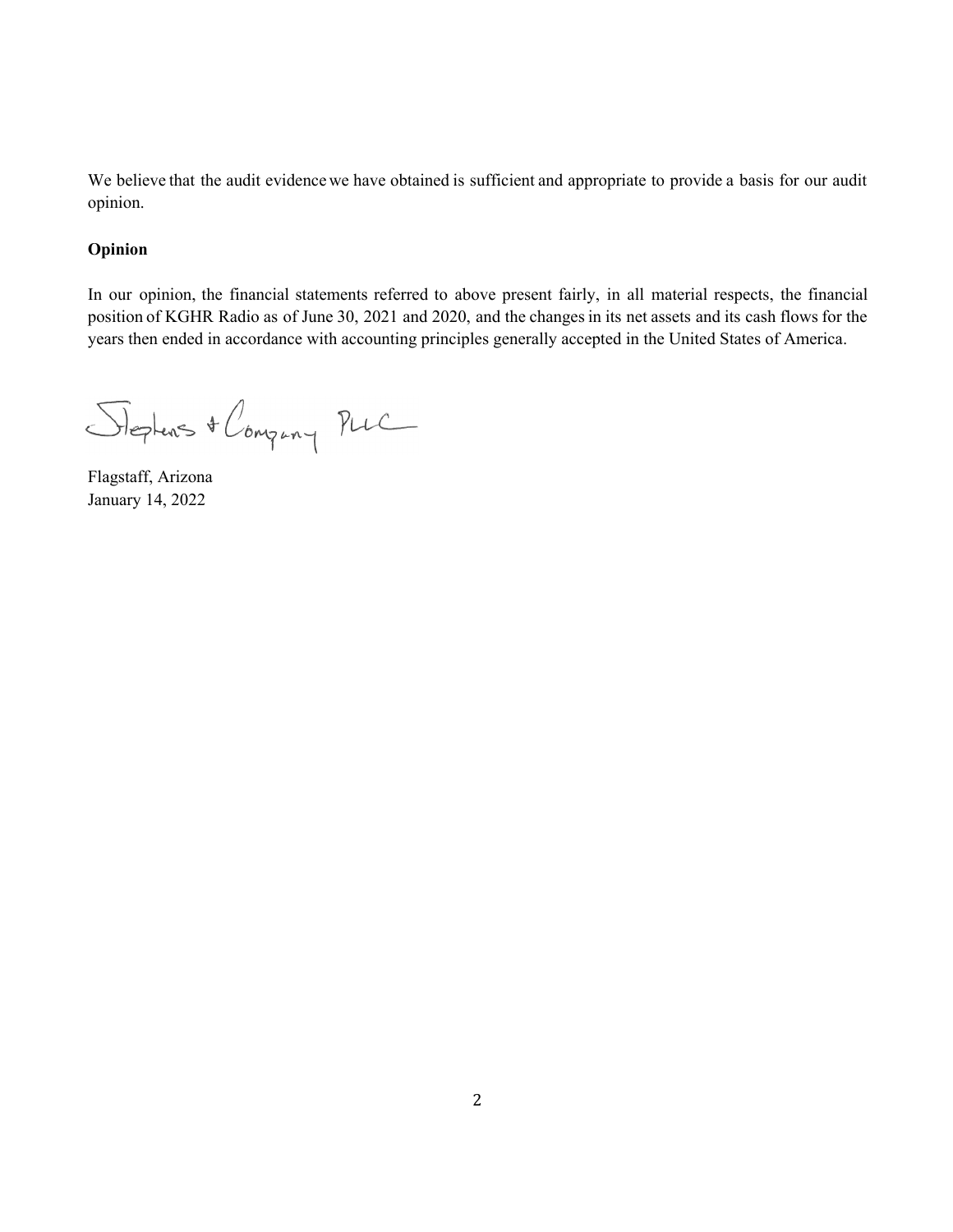We believe that the audit evidence we have obtained is sufficient and appropriate to provide a basis for our audit opinion.

#### **Opinion**

In our opinion, the financial statements referred to above present fairly, in all material respects, the financial position of KGHR Radio as of June 30, 2021 and 2020, and the changes in its net assets and its cash flows for the years then ended in accordance with accounting principles generally accepted in the United States of America.

Stephens & Congany PLL

Flagstaff, Arizona January 14, 2022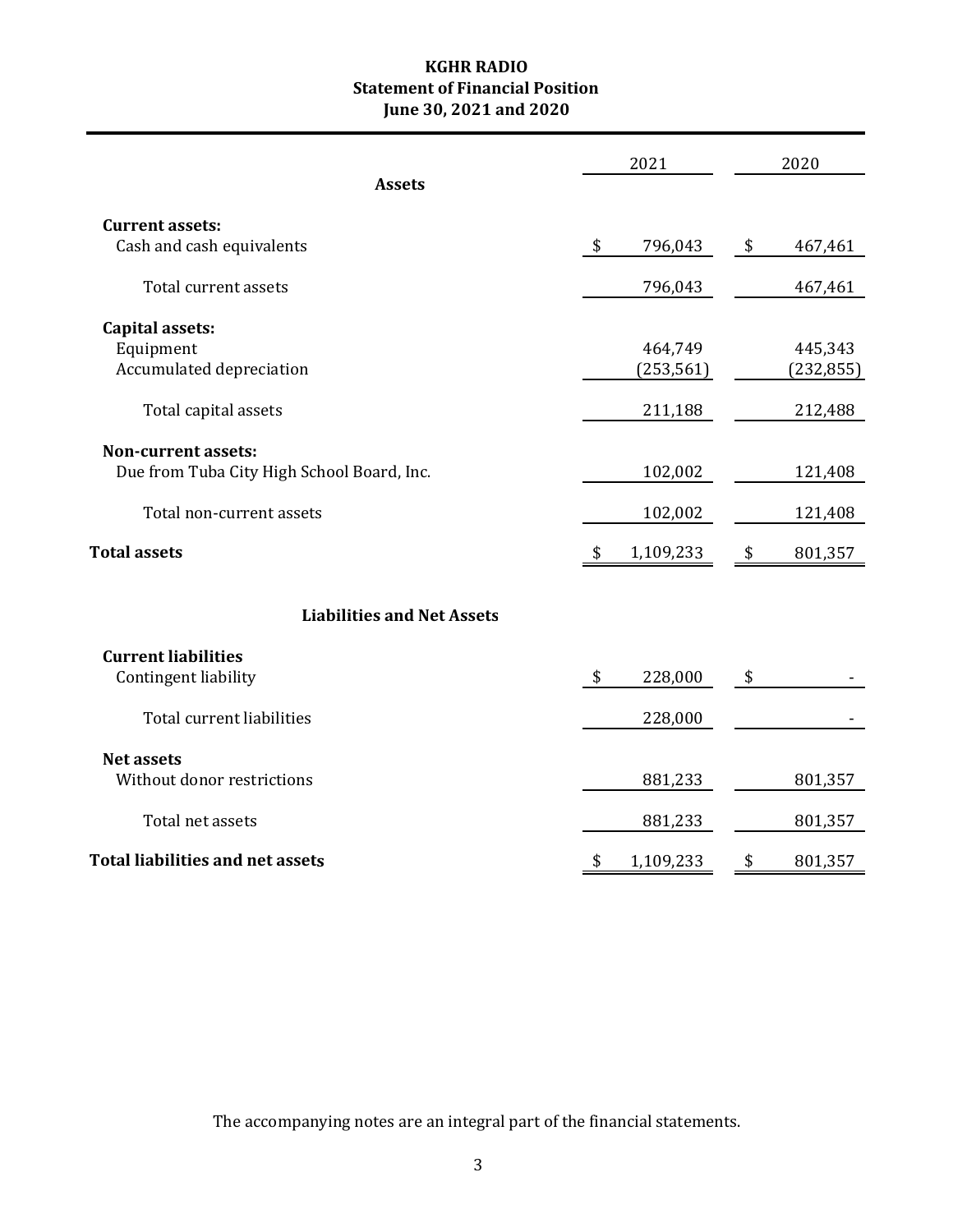# **KGHR RADIO Statement of Financial Position June 30, 2021 and 2020**

|                                            |    | 2021       | 2020 |            |  |
|--------------------------------------------|----|------------|------|------------|--|
| <b>Assets</b>                              |    |            |      |            |  |
| <b>Current assets:</b>                     |    |            |      |            |  |
| Cash and cash equivalents                  | \$ | 796,043    | \$   | 467,461    |  |
| Total current assets                       |    | 796,043    |      | 467,461    |  |
| <b>Capital assets:</b>                     |    |            |      |            |  |
| Equipment                                  |    | 464,749    |      | 445,343    |  |
| Accumulated depreciation                   |    | (253, 561) |      | (232, 855) |  |
| Total capital assets                       |    | 211,188    |      | 212,488    |  |
| Non-current assets:                        |    |            |      |            |  |
| Due from Tuba City High School Board, Inc. |    | 102,002    |      | 121,408    |  |
| Total non-current assets                   |    | 102,002    |      | 121,408    |  |
| <b>Total assets</b>                        | S  | 1,109,233  | \$   | 801,357    |  |
| <b>Liabilities and Net Assets</b>          |    |            |      |            |  |
| <b>Current liabilities</b>                 |    |            |      |            |  |
| Contingent liability                       | \$ | 228,000    | \$   |            |  |
| Total current liabilities                  |    | 228,000    |      |            |  |
| <b>Net assets</b>                          |    |            |      |            |  |
| Without donor restrictions                 |    | 881,233    |      | 801,357    |  |
| Total net assets                           |    | 881,233    |      | 801,357    |  |
| <b>Total liabilities and net assets</b>    | \$ | 1,109,233  | \$   | 801,357    |  |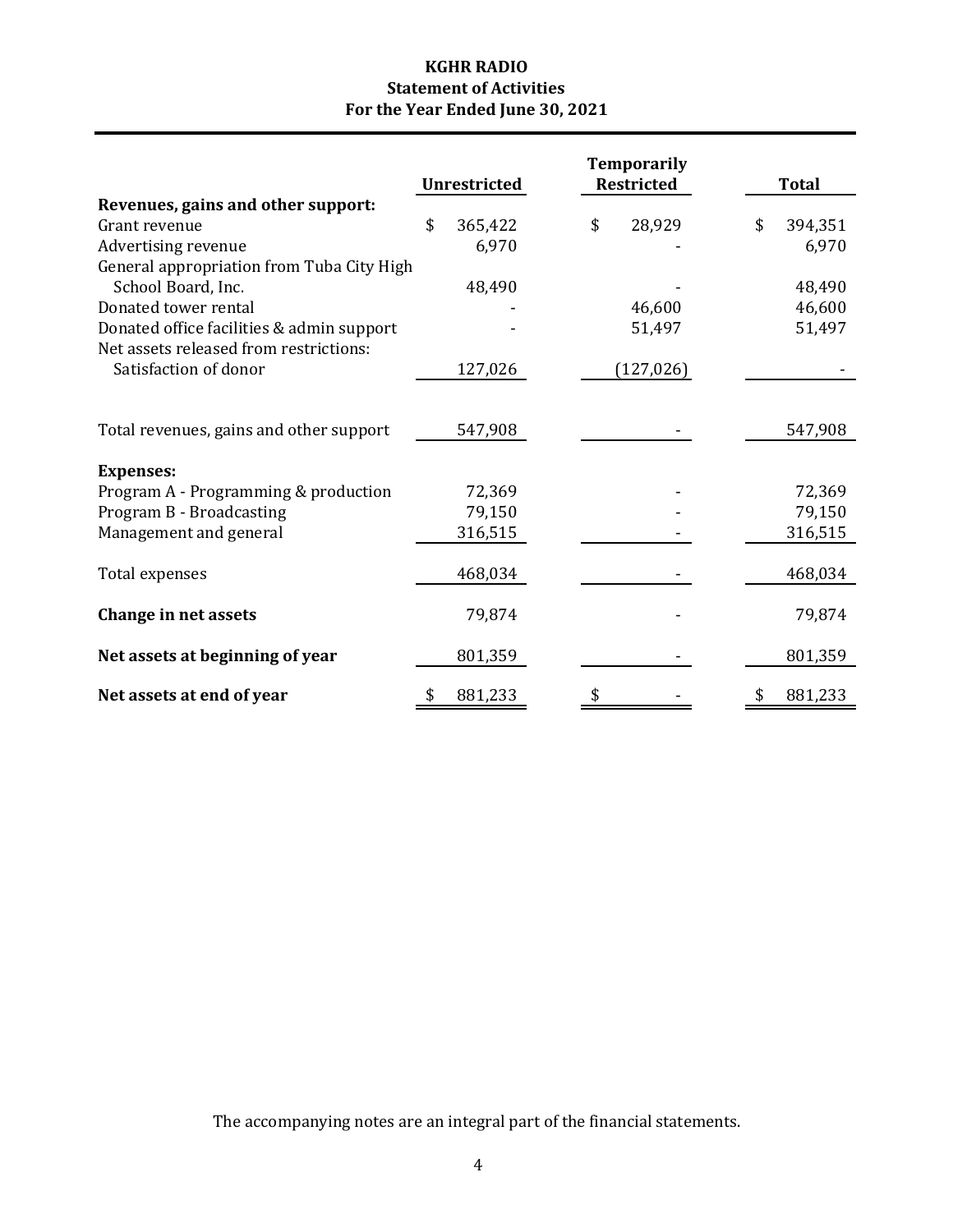# **KGHR RADIO Statement of Activities For the Year Ended June 30, 2021**

|                                           | <b>Unrestricted</b> |    | <b>Temporarily</b><br><b>Restricted</b> |    | <b>Total</b> |
|-------------------------------------------|---------------------|----|-----------------------------------------|----|--------------|
| Revenues, gains and other support:        |                     |    |                                         |    |              |
| Grant revenue                             | \$<br>365,422       | \$ | 28,929                                  | \$ | 394,351      |
| Advertising revenue                       | 6,970               |    |                                         |    | 6,970        |
| General appropriation from Tuba City High |                     |    |                                         |    |              |
| School Board, Inc.                        | 48,490              |    |                                         |    | 48,490       |
| Donated tower rental                      |                     |    | 46,600                                  |    | 46,600       |
| Donated office facilities & admin support |                     |    | 51,497                                  |    | 51,497       |
| Net assets released from restrictions:    |                     |    |                                         |    |              |
| Satisfaction of donor                     | 127,026             |    | (127, 026)                              |    |              |
| Total revenues, gains and other support   | 547,908             |    |                                         |    | 547,908      |
| <b>Expenses:</b>                          |                     |    |                                         |    |              |
| Program A - Programming & production      | 72,369              |    |                                         |    | 72,369       |
| Program B - Broadcasting                  | 79,150              |    |                                         |    | 79,150       |
| Management and general                    | 316,515             |    |                                         |    | 316,515      |
|                                           |                     |    |                                         |    |              |
| Total expenses                            | 468,034             |    |                                         |    | 468,034      |
|                                           |                     |    |                                         |    |              |
| Change in net assets                      | 79,874              |    |                                         |    | 79,874       |
|                                           |                     |    |                                         |    |              |
| Net assets at beginning of year           | 801,359             |    |                                         |    | 801,359      |
| Net assets at end of year                 | 881,233             |    |                                         |    | 881,233      |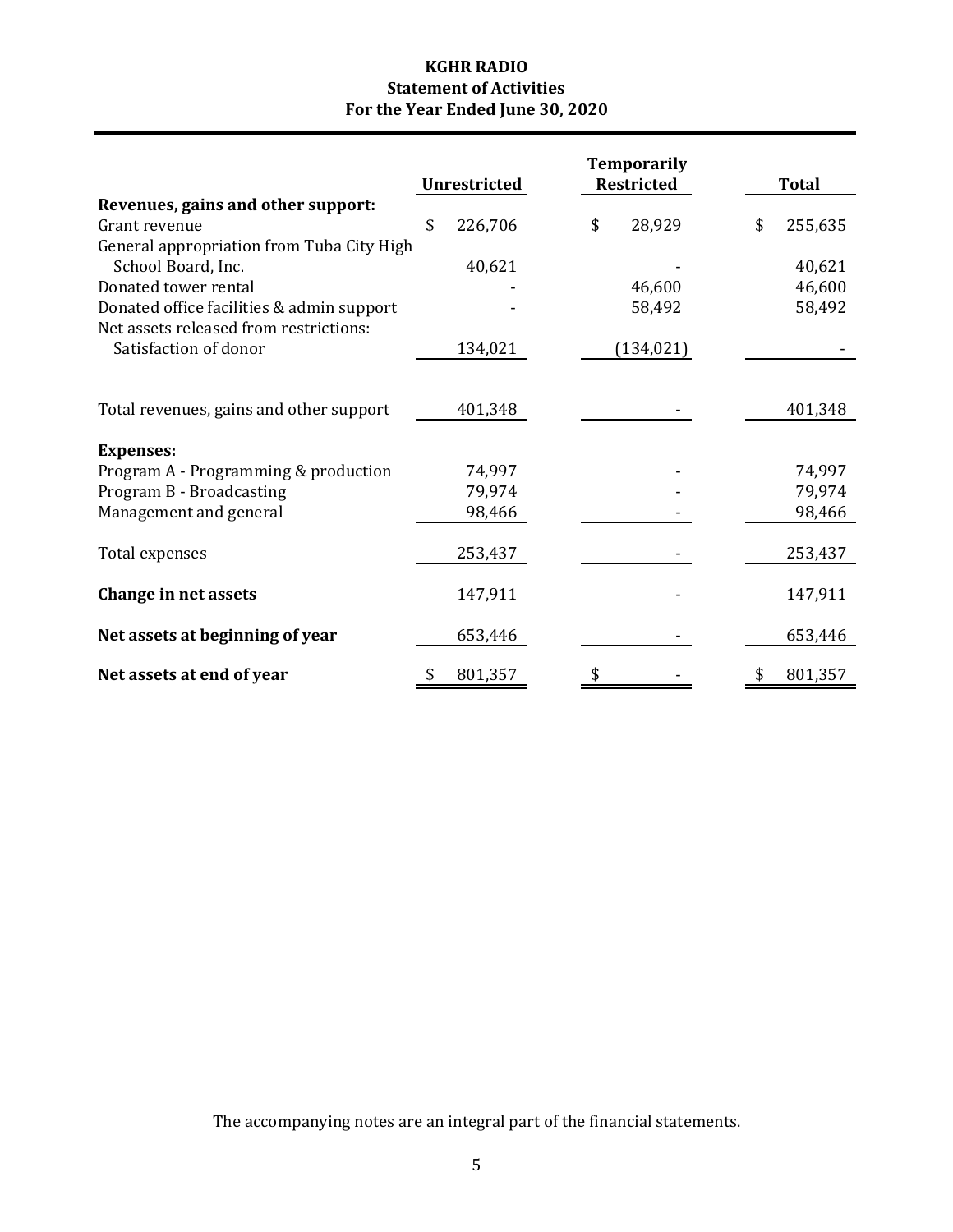# **KGHR RADIO Statement of Activities For the Year Ended June 30, 2020**

|                                                                 | <b>Unrestricted</b> |    | <b>Temporarily</b><br><b>Restricted</b> |    | <b>Total</b> |
|-----------------------------------------------------------------|---------------------|----|-----------------------------------------|----|--------------|
| Revenues, gains and other support:                              |                     |    |                                         |    |              |
| Grant revenue                                                   | \$<br>226,706       | \$ | 28,929                                  | \$ | 255,635      |
| General appropriation from Tuba City High<br>School Board, Inc. | 40,621              |    |                                         |    | 40,621       |
| Donated tower rental                                            |                     |    | 46,600                                  |    | 46,600       |
| Donated office facilities & admin support                       |                     |    | 58,492                                  |    | 58,492       |
| Net assets released from restrictions:                          |                     |    |                                         |    |              |
| Satisfaction of donor                                           | 134,021             |    | (134, 021)                              |    |              |
| Total revenues, gains and other support                         | 401,348             |    |                                         |    | 401,348      |
| <b>Expenses:</b>                                                |                     |    |                                         |    |              |
| Program A - Programming & production                            | 74,997              |    |                                         |    | 74,997       |
| Program B - Broadcasting                                        | 79,974              |    |                                         |    | 79,974       |
| Management and general                                          | 98,466              |    |                                         |    | 98,466       |
|                                                                 |                     |    |                                         |    |              |
| Total expenses                                                  | 253,437             |    |                                         |    | 253,437      |
| Change in net assets                                            | 147,911             |    |                                         |    | 147,911      |
| Net assets at beginning of year                                 | 653,446             |    |                                         |    | 653,446      |
| Net assets at end of year                                       | 801,357             |    |                                         |    | 801,357      |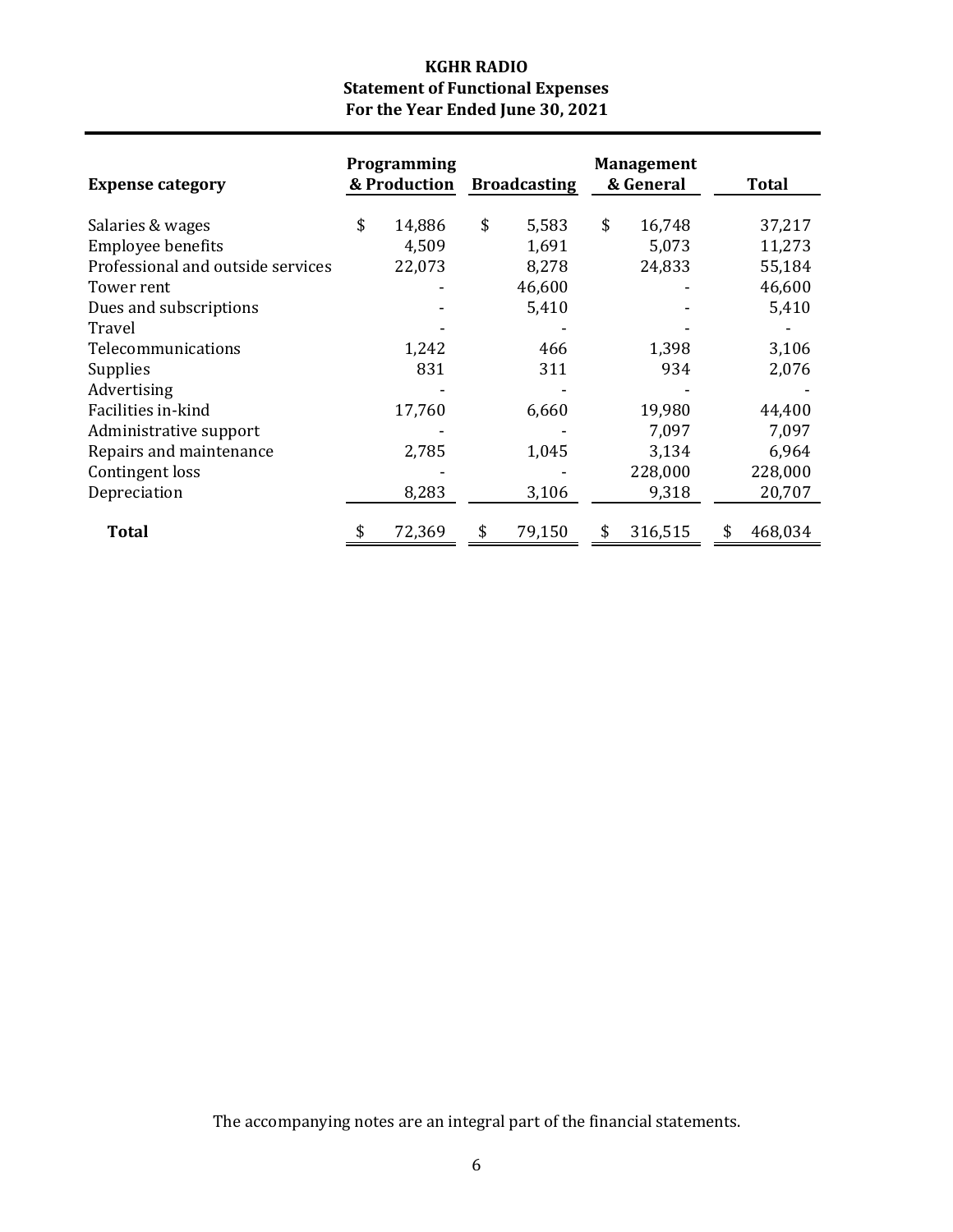# **KGHR RADIO Statement of Functional Expenses For the Year Ended June 30, 2021**

| <b>Expense category</b>           | Programming<br>& Production | <b>Broadcasting</b> | <b>Management</b><br>& General | <b>Total</b> |
|-----------------------------------|-----------------------------|---------------------|--------------------------------|--------------|
| Salaries & wages                  | \$<br>14,886                | \$<br>5,583         | \$<br>16,748                   | 37,217       |
| Employee benefits                 | 4,509                       | 1,691               | 5,073                          | 11,273       |
| Professional and outside services | 22,073                      | 8,278               | 24,833                         | 55,184       |
| Tower rent                        |                             | 46,600              |                                | 46,600       |
| Dues and subscriptions            |                             | 5,410               |                                | 5,410        |
| Travel                            |                             |                     |                                |              |
| Telecommunications                | 1,242                       | 466                 | 1,398                          | 3,106        |
| Supplies                          | 831                         | 311                 | 934                            | 2,076        |
| Advertising                       |                             |                     |                                |              |
| Facilities in-kind                | 17,760                      | 6,660               | 19,980                         | 44,400       |
| Administrative support            |                             |                     | 7,097                          | 7,097        |
| Repairs and maintenance           | 2,785                       | 1,045               | 3,134                          | 6,964        |
| Contingent loss                   |                             |                     | 228,000                        | 228,000      |
| Depreciation                      | 8,283                       | 3,106               | 9,318                          | 20,707       |
| Total                             | 72,369                      | \$<br>79,150        | \$<br>316,515                  | 468,034      |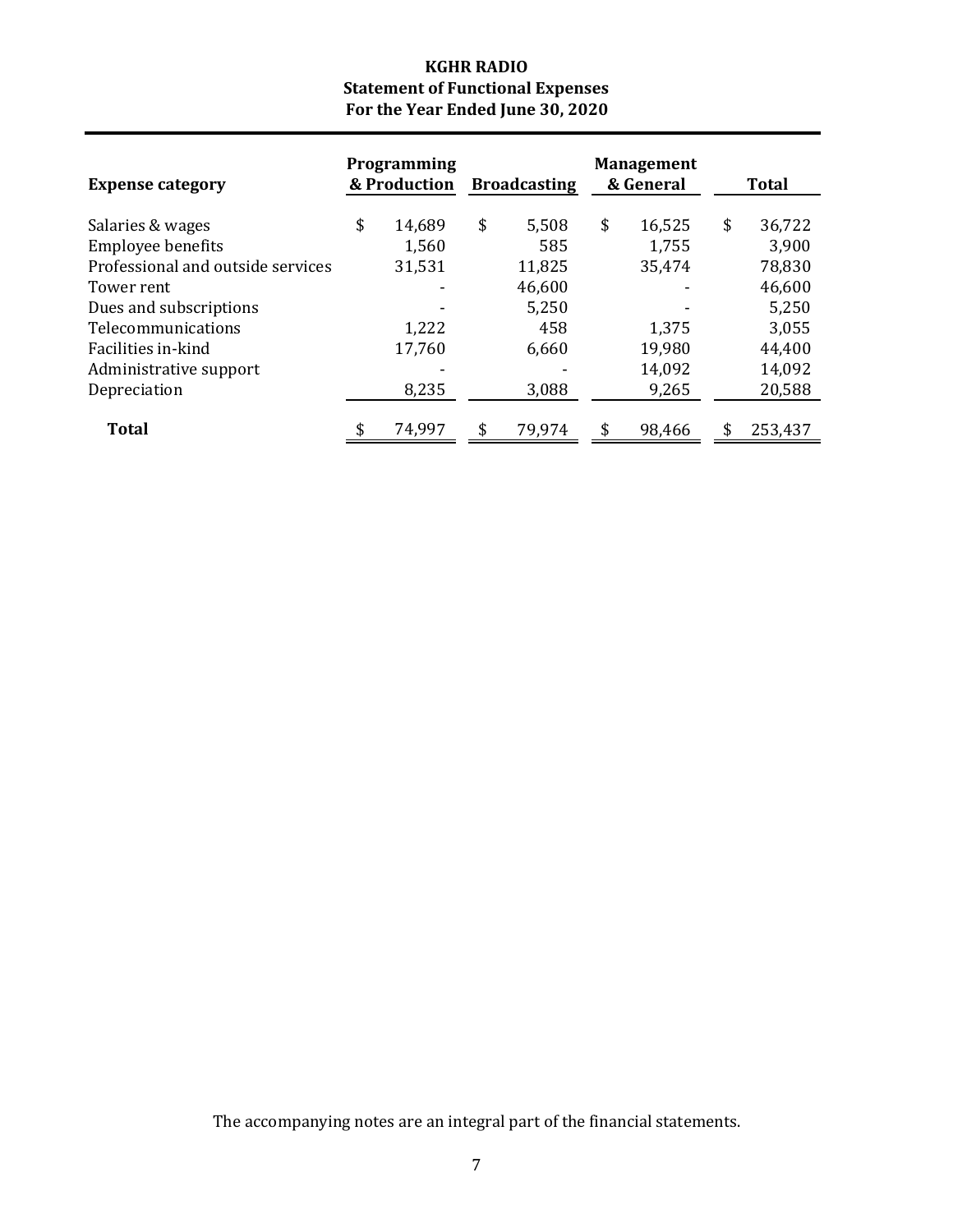# **KGHR RADIO Statement of Functional Expenses For the Year Ended June 30, 2020**

| <b>Expense category</b>                                                    | Programming<br>& Production | <b>Broadcasting</b>       | <b>Management</b><br>& General | <b>Total</b>              |
|----------------------------------------------------------------------------|-----------------------------|---------------------------|--------------------------------|---------------------------|
| Salaries & wages<br>Employee benefits<br>Professional and outside services | \$<br>14,689<br>1,560       | \$<br>5,508<br>585        | \$<br>16,525<br>1,755          | \$<br>36,722<br>3,900     |
| Tower rent<br>Dues and subscriptions                                       | 31,531                      | 11,825<br>46,600<br>5,250 | 35,474                         | 78,830<br>46,600<br>5,250 |
| Telecommunications<br>Facilities in-kind                                   | 1,222<br>17,760             | 458<br>6,660              | 1,375<br>19,980                | 3,055<br>44,400           |
| Administrative support<br>Depreciation                                     | 8,235                       | 3,088                     | 14,092<br>9,265                | 14,092<br>20,588          |
| <b>Total</b>                                                               | 74,997                      | \$<br>79,974              | 98,466                         | 253,437                   |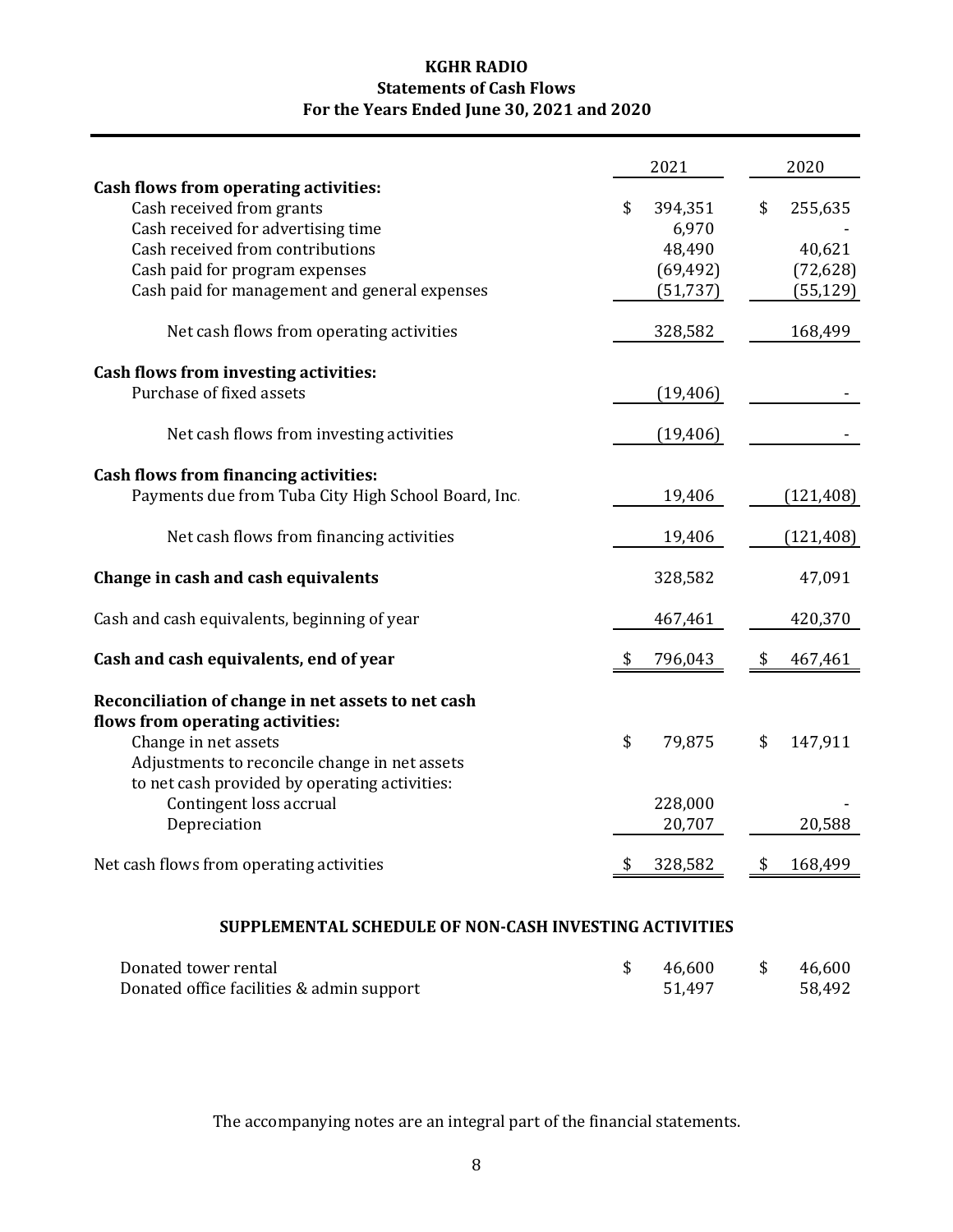## **KGHR RADIO Statements of Cash Flows For the Years Ended June 30, 2021 and 2020**

|                                                                                                                                                                                                                                        | 2021                                                       |    | 2020                                        |
|----------------------------------------------------------------------------------------------------------------------------------------------------------------------------------------------------------------------------------------|------------------------------------------------------------|----|---------------------------------------------|
| <b>Cash flows from operating activities:</b><br>Cash received from grants<br>Cash received for advertising time<br>Cash received from contributions<br>Cash paid for program expenses<br>Cash paid for management and general expenses | \$<br>394,351<br>6,970<br>48,490<br>(69, 492)<br>(51, 737) | \$ | 255,635<br>40,621<br>(72, 628)<br>(55, 129) |
| Net cash flows from operating activities                                                                                                                                                                                               | 328,582                                                    |    | 168,499                                     |
| Cash flows from investing activities:<br>Purchase of fixed assets                                                                                                                                                                      | (19, 406)                                                  |    |                                             |
| Net cash flows from investing activities                                                                                                                                                                                               | (19, 406)                                                  |    |                                             |
| <b>Cash flows from financing activities:</b><br>Payments due from Tuba City High School Board, Inc.                                                                                                                                    | 19,406                                                     |    | (121, 408)                                  |
| Net cash flows from financing activities                                                                                                                                                                                               | 19,406                                                     |    | (121, 408)                                  |
| Change in cash and cash equivalents                                                                                                                                                                                                    | 328,582                                                    |    | 47,091                                      |
| Cash and cash equivalents, beginning of year                                                                                                                                                                                           | 467,461                                                    |    | 420,370                                     |
| Cash and cash equivalents, end of year                                                                                                                                                                                                 | \$<br>796,043                                              | S  | 467,461                                     |
| Reconciliation of change in net assets to net cash<br>flows from operating activities:<br>Change in net assets<br>Adjustments to reconcile change in net assets<br>to net cash provided by operating activities:                       | \$<br>79,875                                               | \$ | 147,911                                     |
| Contingent loss accrual<br>Depreciation                                                                                                                                                                                                | 228,000<br>20,707                                          |    | 20,588                                      |
| Net cash flows from operating activities                                                                                                                                                                                               | \$<br>328,582                                              | \$ | 168,499                                     |
| SUPPLEMENTAL SCHEDULE OF NON-CASH INVESTING ACTIVITIES                                                                                                                                                                                 |                                                            |    |                                             |

# Donated tower rental  $\frac{1}{2}$  and  $\frac{1}{2}$  and  $\frac{1}{2}$  and  $\frac{1}{2}$  and  $\frac{1}{2}$  and  $\frac{1}{2}$  and  $\frac{1}{2}$  and  $\frac{1}{2}$  and  $\frac{1}{2}$  and  $\frac{1}{2}$  and  $\frac{1}{2}$  and  $\frac{1}{2}$  and  $\frac{1}{2}$  and  $\frac{1}{2}$  and  $\frac{1$ Donated office facilities & admin support 51,497 58,492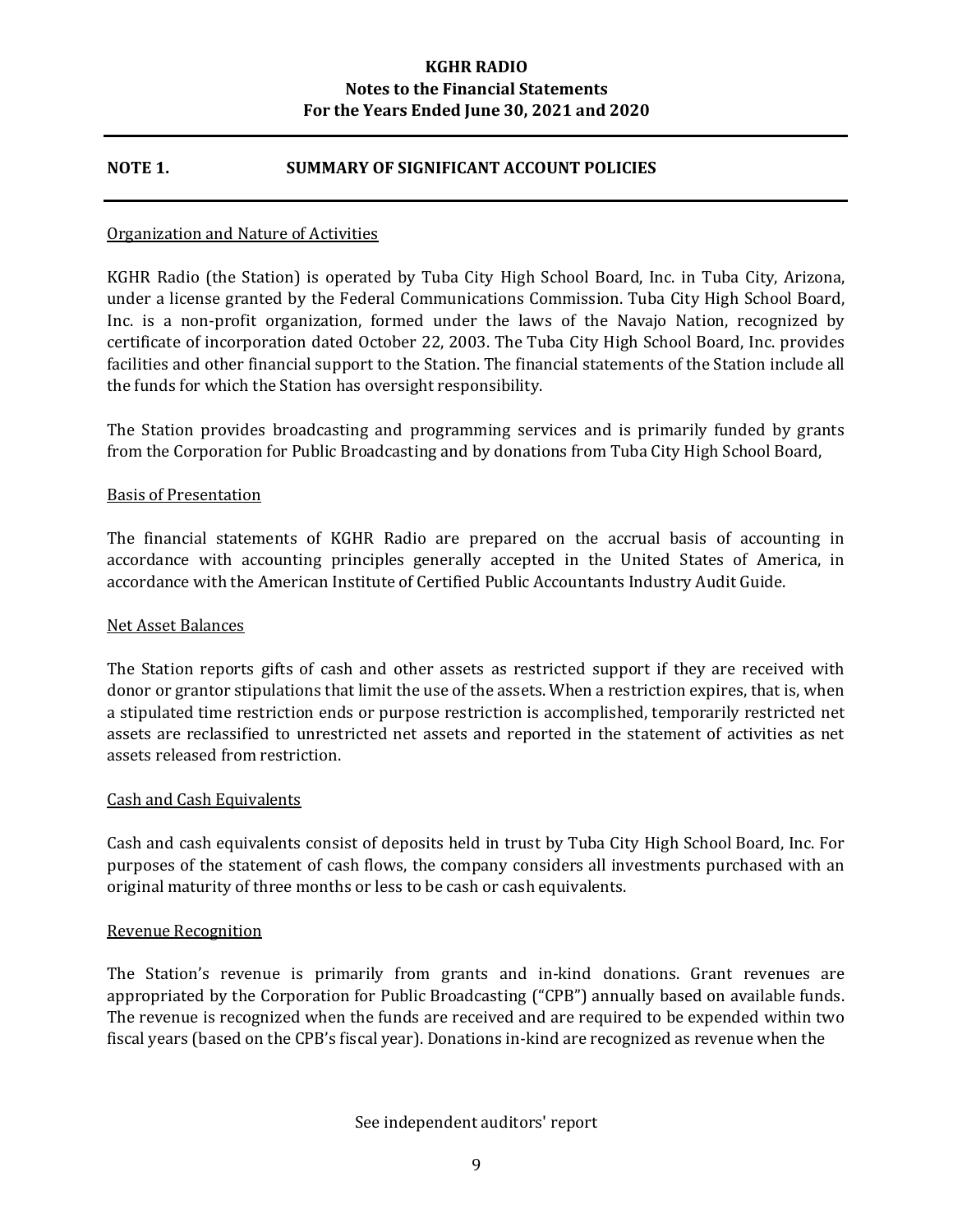### **NOTE 1. SUMMARY OF SIGNIFICANT ACCOUNT POLICIES**

#### Organization and Nature of Activities

KGHR Radio (the Station) is operated by Tuba City High School Board, Inc. in Tuba City, Arizona, under a license granted by the Federal Communications Commission. Tuba City High School Board, Inc. is a non‐profit organization, formed under the laws of the Navajo Nation, recognized by certificate of incorporation dated October 22, 2003. The Tuba City High School Board, Inc. provides facilities and other financial support to the Station. The financial statements of the Station include all the funds for which the Station has oversight responsibility.

The Station provides broadcasting and programming services and is primarily funded by grants from the Corporation for Public Broadcasting and by donations from Tuba City High School Board,

#### Basis of Presentation

The financial statements of KGHR Radio are prepared on the accrual basis of accounting in accordance with accounting principles generally accepted in the United States of America, in accordance with the American Institute of Certified Public Accountants Industry Audit Guide.

#### Net Asset Balances

The Station reports gifts of cash and other assets as restricted support if they are received with donor or grantor stipulations that limit the use of the assets. When a restriction expires, that is, when a stipulated time restriction ends or purpose restriction is accomplished, temporarily restricted net assets are reclassified to unrestricted net assets and reported in the statement of activities as net assets released from restriction.

#### Cash and Cash Equivalents

Cash and cash equivalents consist of deposits held in trust by Tuba City High School Board, Inc. For purposes of the statement of cash flows, the company considers all investments purchased with an original maturity of three months or less to be cash or cash equivalents.

#### Revenue Recognition

The Station's revenue is primarily from grants and in‐kind donations. Grant revenues are appropriated by the Corporation for Public Broadcasting ("CPB") annually based on available funds. The revenue is recognized when the funds are received and are required to be expended within two fiscal years (based on the CPB's fiscal year). Donations in‐kind are recognized as revenue when the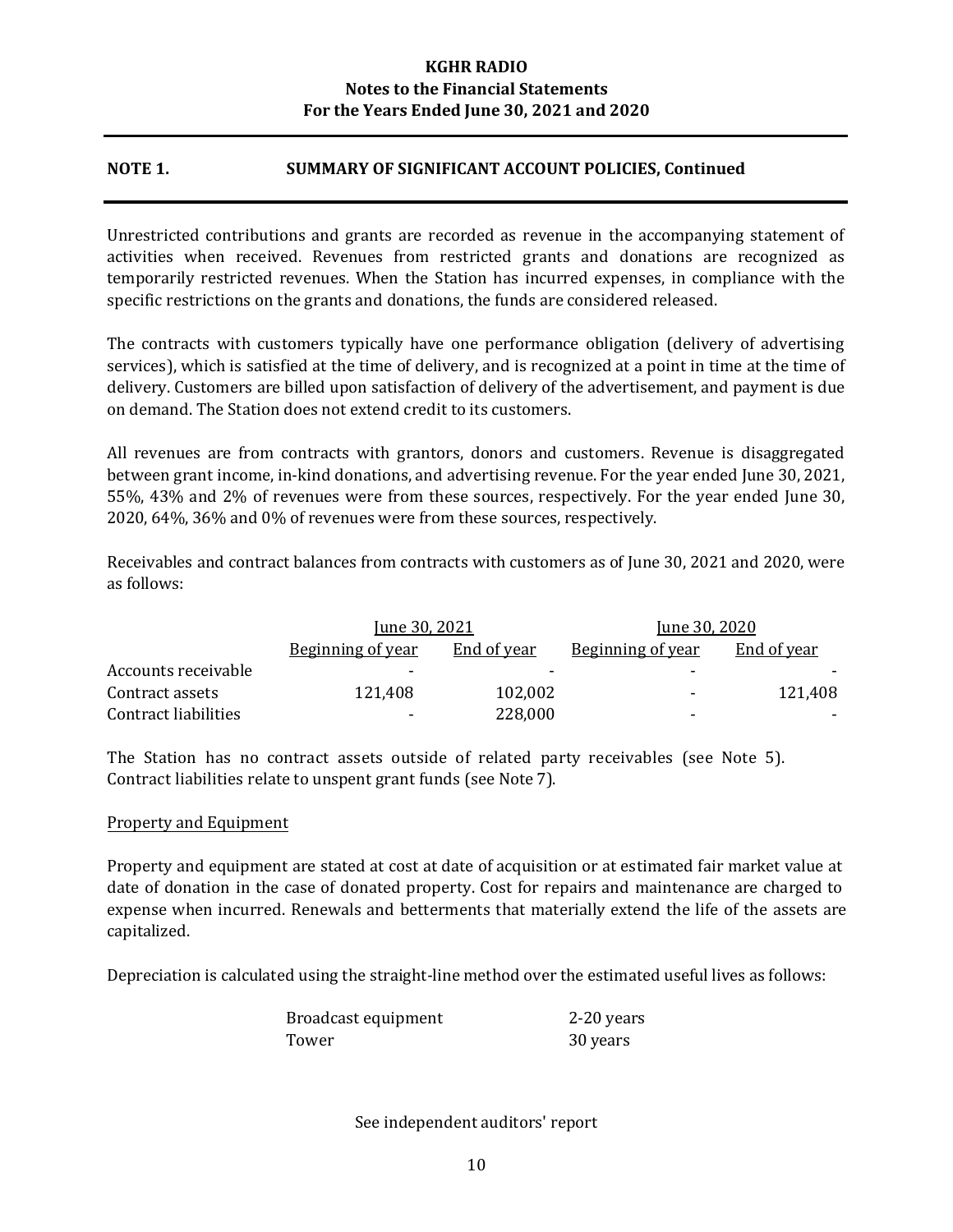### **NOTE 1. SUMMARY OF SIGNIFICANT ACCOUNT POLICIES, Continued**

Unrestricted contributions and grants are recorded as revenue in the accompanying statement of activities when received. Revenues from restricted grants and donations are recognized as temporarily restricted revenues. When the Station has incurred expenses, in compliance with the specific restrictions on the grants and donations, the funds are considered released.

The contracts with customers typically have one performance obligation (delivery of advertising services), which is satisfied at the time of delivery, and is recognized at a point in time at the time of delivery. Customers are billed upon satisfaction of delivery of the advertisement, and payment is due on demand. The Station does not extend credit to its customers.

All revenues are from contracts with grantors, donors and customers. Revenue is disaggregated between grant income, in‐kind donations, and advertising revenue. For the year ended June 30, 2021, 55%, 43% and 2% of revenues were from these sources, respectively. For the year ended June 30, 2020, 64%, 36% and 0% of revenues were from these sources, respectively.

Receivables and contract balances from contracts with customers as of June 30, 2021 and 2020, were as follows: 

|                      | June 30, 2021            |                    | <u>June 30, 2020</u>     |             |
|----------------------|--------------------------|--------------------|--------------------------|-------------|
|                      | <u>Beginning of year</u> | <b>End of year</b> | Beginning of year        | End of year |
| Accounts receivable  | -                        |                    |                          |             |
| Contract assets      | 121,408                  | 102,002            | $\sim$                   | 121,408     |
| Contract liabilities | -                        | 228,000            | $\overline{\phantom{0}}$ |             |

The Station has no contract assets outside of related party receivables (see Note 5). Contract liabilities relate to unspent grant funds (see Note 7).

#### Property and Equipment

Property and equipment are stated at cost at date of acquisition or at estimated fair market value at date of donation in the case of donated property. Cost for repairs and maintenance are charged to expense when incurred. Renewals and betterments that materially extend the life of the assets are capitalized.

Depreciation is calculated using the straight-line method over the estimated useful lives as follows:

Broadcast equipment 2-20 years Tower 30 years

See independent auditors' report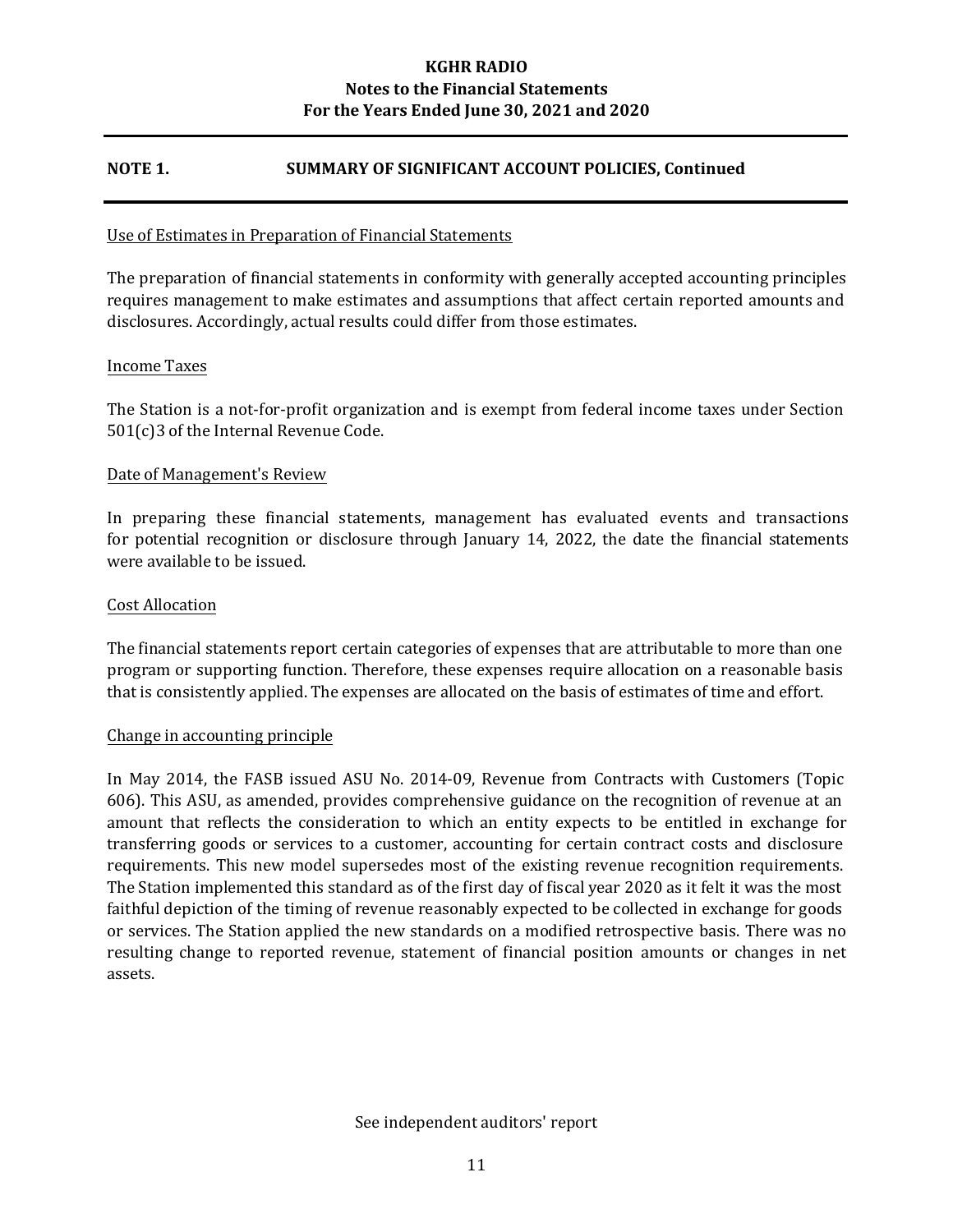### **NOTE 1. SUMMARY OF SIGNIFICANT ACCOUNT POLICIES, Continued**

#### Use of Estimates in Preparation of Financial Statements

The preparation of financial statements in conformity with generally accepted accounting principles requires management to make estimates and assumptions that affect certain reported amounts and disclosures. Accordingly, actual results could differ from those estimates.

#### Income Taxes

The Station is a not-for-profit organization and is exempt from federal income taxes under Section 501(c)3 of the Internal Revenue Code.

### Date of Management's Review

In preparing these financial statements, management has evaluated events and transactions for potential recognition or disclosure through January 14, 2022, the date the financial statements were available to be issued.

### Cost Allocation

The financial statements report certain categories of expenses that are attributable to more than one program or supporting function. Therefore, these expenses require allocation on a reasonable basis that is consistently applied. The expenses are allocated on the basis of estimates of time and effort.

#### Change in accounting principle

In May 2014, the FASB issued ASU No. 2014‐09, Revenue from Contracts with Customers (Topic 606). This ASU, as amended, provides comprehensive guidance on the recognition of revenue at an amount that reflects the consideration to which an entity expects to be entitled in exchange for transferring goods or services to a customer, accounting for certain contract costs and disclosure requirements. This new model supersedes most of the existing revenue recognition requirements. The Station implemented this standard as of the first day of fiscal year 2020 as it felt it was the most faithful depiction of the timing of revenue reasonably expected to be collected in exchange for goods or services. The Station applied the new standards on a modified retrospective basis. There was no resulting change to reported revenue, statement of financial position amounts or changes in net assets.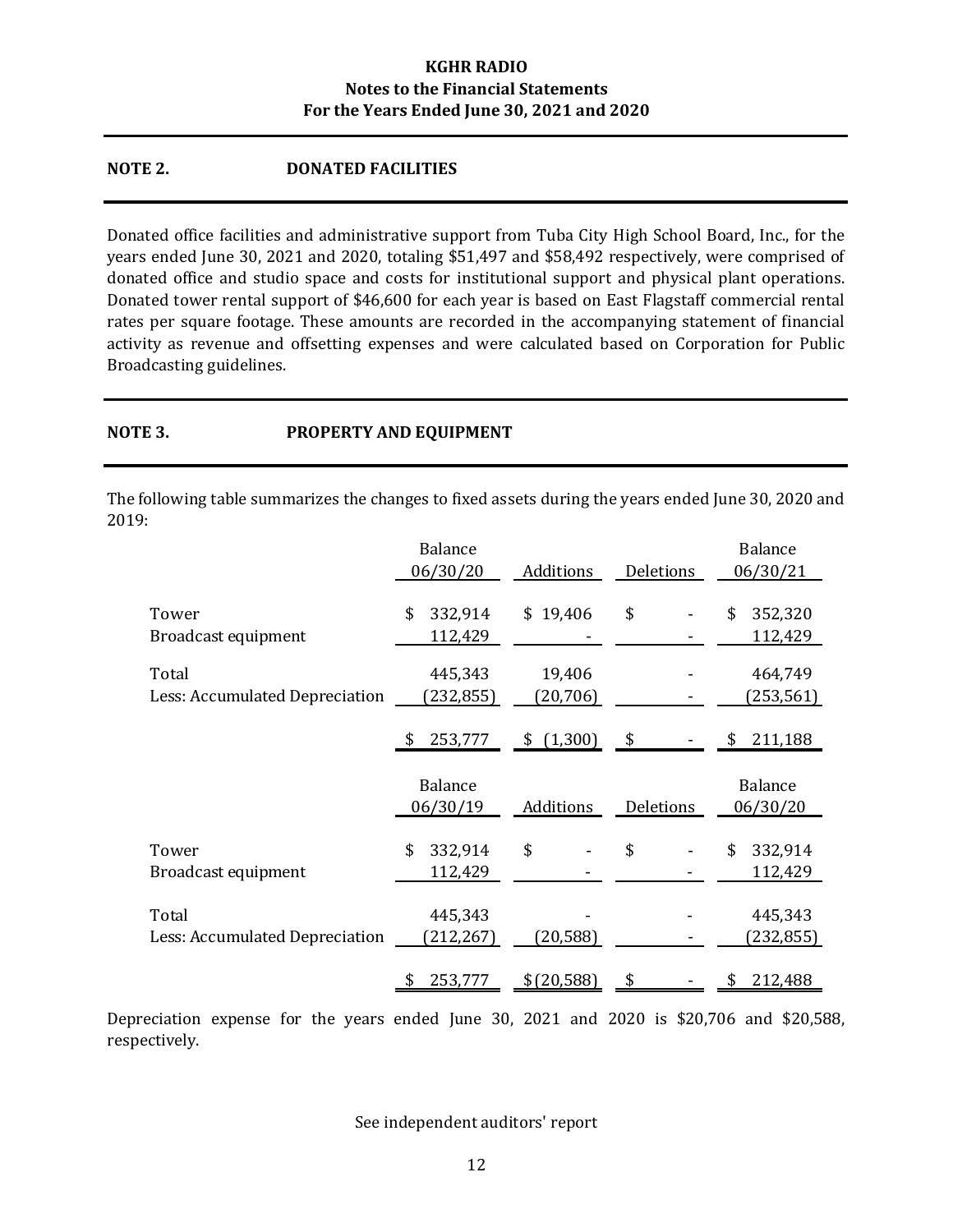### **NOTE 2. DONATED FACILITIES**

Donated office facilities and administrative support from Tuba City High School Board, Inc., for the years ended June 30, 2021 and 2020, totaling \$51,497 and \$58,492 respectively, were comprised of donated office and studio space and costs for institutional support and physical plant operations. Donated tower rental support of \$46,600 for each year is based on East Flagstaff commercial rental rates per square footage. These amounts are recorded in the accompanying statement of financial activity as revenue and offsetting expenses and were calculated based on Corporation for Public Broadcasting guidelines.

## **NOTE 3. PROPERTY AND EQUIPMENT**

The following table summarizes the changes to fixed assets during the years ended June 30, 2020 and 2019:

|                                | Balance        |               |           | <b>Balance</b> |
|--------------------------------|----------------|---------------|-----------|----------------|
|                                | 06/30/20       | Additions     | Deletions | 06/30/21       |
|                                |                |               |           |                |
| Tower                          | 332,914<br>\$  | \$19,406      | \$        | \$<br>352,320  |
| <b>Broadcast equipment</b>     | 112,429        |               |           | 112,429        |
| Total                          | 445,343        | 19,406        |           | 464,749        |
| Less: Accumulated Depreciation | (232, 855)     | (20, 706)     |           | (253, 561)     |
|                                |                |               |           |                |
|                                | 253,777        | (1,300)<br>\$ | -\$       | 211,188        |
|                                |                |               |           |                |
|                                |                |               |           |                |
|                                | <b>Balance</b> |               |           | <b>Balance</b> |
|                                | 06/30/19       | Additions     | Deletions | 06/30/20       |
| Tower                          | \$<br>332,914  | \$            | \$        | \$<br>332,914  |
| Broadcast equipment            | 112,429        |               |           | 112,429        |
|                                |                |               |           |                |
| Total                          | 445,343        |               |           | 445,343        |
| Less: Accumulated Depreciation | (212, 267)     | (20, 588)     |           | (232, 855)     |
|                                |                |               |           |                |

Depreciation expense for the years ended June 30, 2021 and 2020 is \$20,706 and \$20,588, respectively.

#### See independent auditors' report